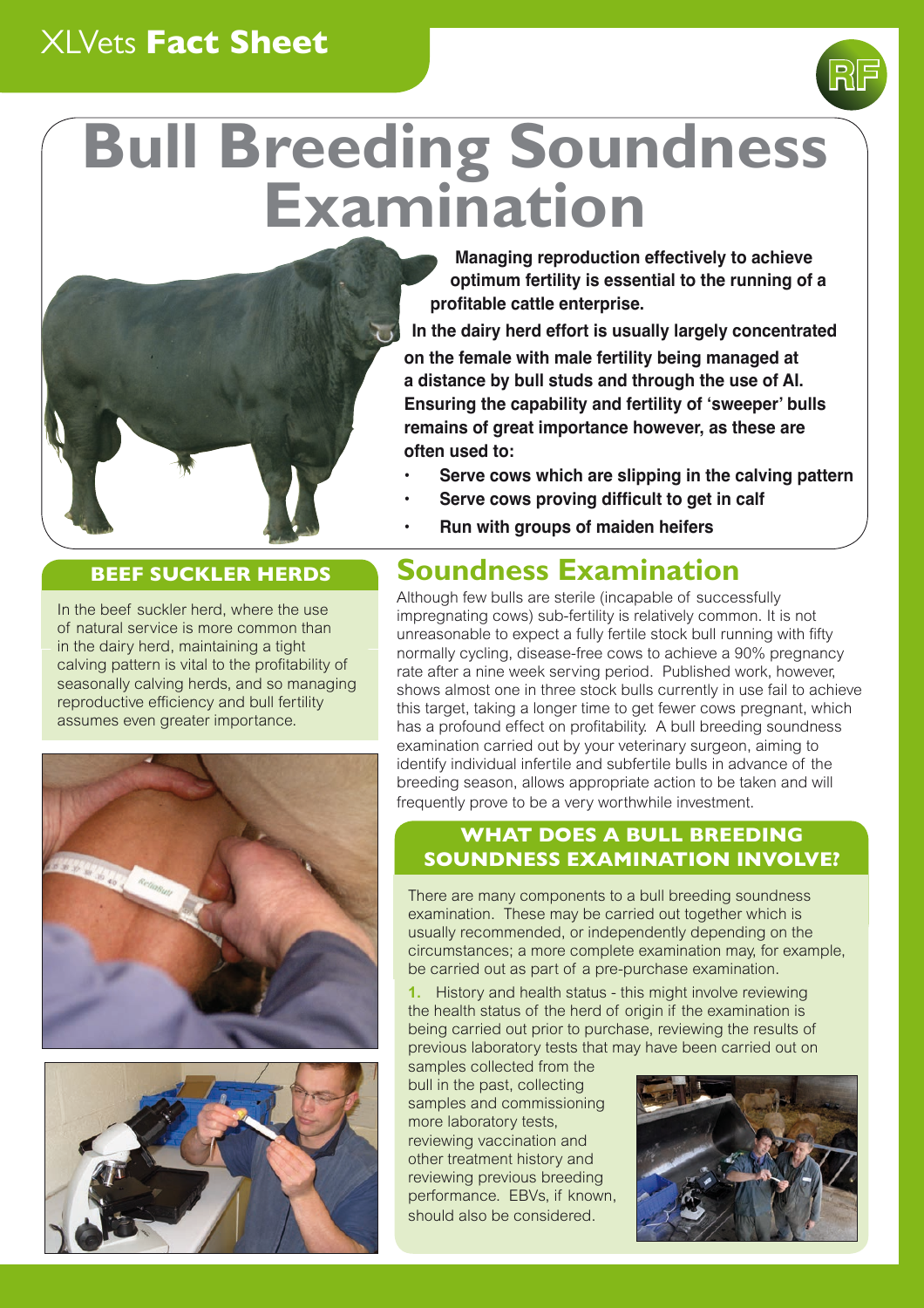## XLVets **Fact Sheet**

# **Bull Breeding Soundness Examination**



#### **Managing reproduction effectively to achieve optimum fertility is essential to the running of a profitable cattle enterprise.**

**RF**

**In the dairy herd effort is usually largely concentrated** 

**on the female with male fertility being managed at a distance by bull studs and through the use of AI. Ensuring the capability and fertility of 'sweeper' bulls remains of great importance however, as these are often used to:**

- **• Serve cows which are slipping in the calving pattern**
- **• Serve cows proving difficult to get in calf**
- **• Run with groups of maiden heifers**

# **BEEF SUCKLER HERDS Soundness Examination**

Although few bulls are sterile (incapable of successfully impregnating cows) sub-fertility is relatively common. It is not unreasonable to expect a fully fertile stock bull running with fifty normally cycling, disease-free cows to achieve a 90% pregnancy rate after a nine week serving period. Published work, however, shows almost one in three stock bulls currently in use fail to achieve this target, taking a longer time to get fewer cows pregnant, which has a profound effect on profitability. A bull breeding soundness examination carried out by your veterinary surgeon, aiming to identify individual infertile and subfertile bulls in advance of the breeding season, allows appropriate action to be taken and will frequently prove to be a very worthwhile investment.

### **WHAT DOES A BULL BREEDING SOUNDNESS EXAMINATION INVOLVE?**

There are many components to a bull breeding soundness examination. These may be carried out together which is usually recommended, or independently depending on the circumstances; a more complete examination may, for example, be carried out as part of a pre-purchase examination.

**1.** History and health status - this might involve reviewing the health status of the herd of origin if the examination is being carried out prior to purchase, reviewing the results of previous laboratory tests that may have been carried out on

samples collected from the bull in the past, collecting samples and commissioning more laboratory tests, reviewing vaccination and other treatment history and reviewing previous breeding performance. EBVs, if known, should also be considered.



In the beef suckler herd, where the use of natural service is more common than in the dairy herd, maintaining a tight calving pattern is vital to the profitability of seasonally calving herds, and so managing reproductive efficiency and bull fertility assumes even greater importance.